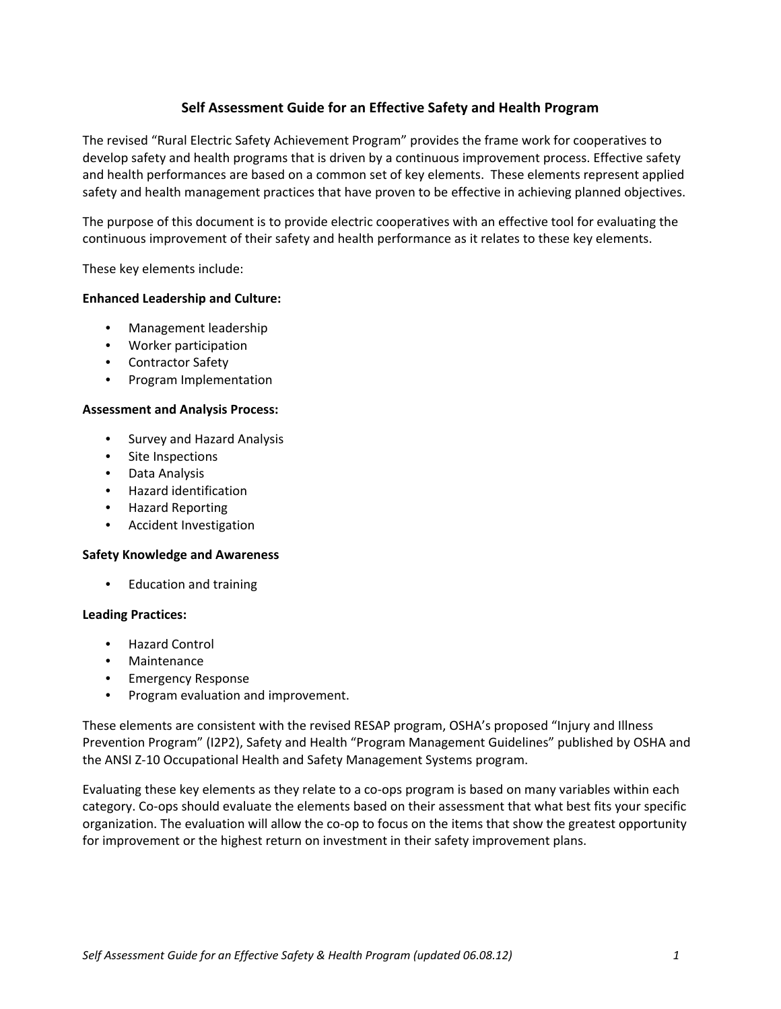# **Self Assessment Guide for an Effective Safety and Health Program**

The revised "Rural Electric Safety Achievement Program" provides the frame work for cooperatives to develop safety and health programs that is driven by a continuous improvement process. Effective safety and health performances are based on a common set of key elements. These elements represent applied safety and health management practices that have proven to be effective in achieving planned objectives.

The purpose of this document is to provide electric cooperatives with an effective tool for evaluating the continuous improvement of their safety and health performance as it relates to these key elements.

These key elements include:

### **Enhanced Leadership and Culture:**

- Management leadership
- Worker participation
- Contractor Safety
- Program Implementation

### **Assessment and Analysis Process:**

- Survey and Hazard Analysis
- Site Inspections
- Data Analysis
- Hazard identification
- Hazard Reporting
- Accident Investigation

### **Safety Knowledge and Awareness**

• Education and training

### **Leading Practices:**

- Hazard Control
- **Maintenance**
- Emergency Response
- Program evaluation and improvement.

These elements are consistent with the revised RESAP program, OSHA's proposed "Injury and Illness Prevention Program" (I2P2), Safety and Health "Program Management Guidelines" published by OSHA and the ANSI Z‐10 Occupational Health and Safety Management Systems program.

Evaluating these key elements as they relate to a co‐ops program is based on many variables within each category. Co‐ops should evaluate the elements based on their assessment that what best fits your specific organization. The evaluation will allow the co‐op to focus on the items that show the greatest opportunity for improvement or the highest return on investment in their safety improvement plans.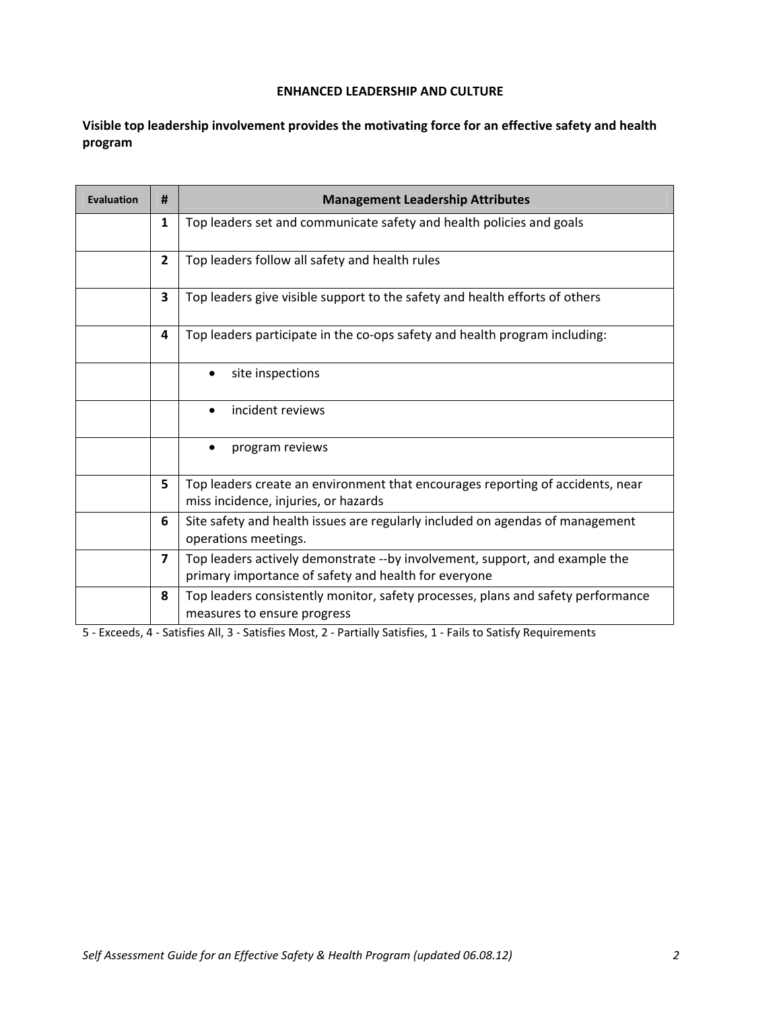**Visible top leadership involvement provides the motivating force for an effective safety and health program**

| <b>Evaluation</b> | #                       | <b>Management Leadership Attributes</b>                                                                                             |
|-------------------|-------------------------|-------------------------------------------------------------------------------------------------------------------------------------|
|                   | 1                       | Top leaders set and communicate safety and health policies and goals                                                                |
|                   | $\overline{2}$          | Top leaders follow all safety and health rules                                                                                      |
|                   | 3                       | Top leaders give visible support to the safety and health efforts of others                                                         |
|                   | 4                       | Top leaders participate in the co-ops safety and health program including:                                                          |
|                   |                         | site inspections                                                                                                                    |
|                   |                         | incident reviews<br>$\bullet$                                                                                                       |
|                   |                         | program reviews                                                                                                                     |
|                   | 5                       | Top leaders create an environment that encourages reporting of accidents, near<br>miss incidence, injuries, or hazards              |
|                   | 6                       | Site safety and health issues are regularly included on agendas of management<br>operations meetings.                               |
|                   | $\overline{\mathbf{z}}$ | Top leaders actively demonstrate --by involvement, support, and example the<br>primary importance of safety and health for everyone |
|                   | 8                       | Top leaders consistently monitor, safety processes, plans and safety performance<br>measures to ensure progress                     |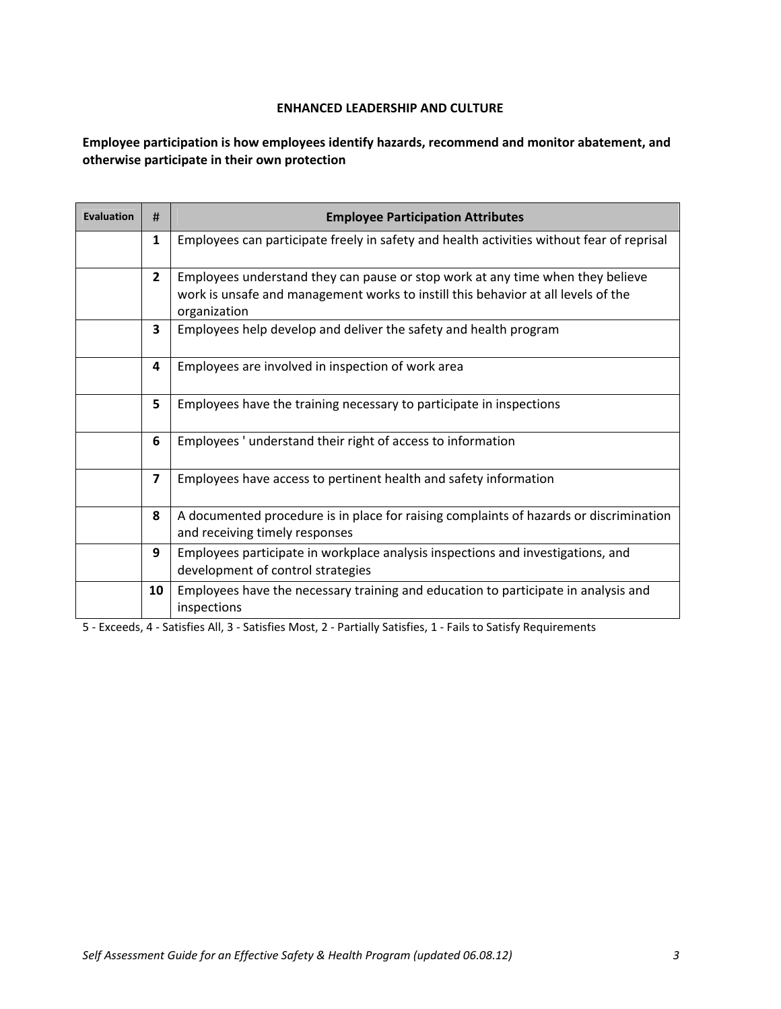# **Employee participation is how employees identify hazards, recommend and monitor abatement, and otherwise participate in their own protection**

| <b>Evaluation</b> | #                       | <b>Employee Participation Attributes</b>                                                                                                                                            |
|-------------------|-------------------------|-------------------------------------------------------------------------------------------------------------------------------------------------------------------------------------|
|                   | 1                       | Employees can participate freely in safety and health activities without fear of reprisal                                                                                           |
|                   | $\mathbf{2}$            | Employees understand they can pause or stop work at any time when they believe<br>work is unsafe and management works to instill this behavior at all levels of the<br>organization |
|                   | 3                       | Employees help develop and deliver the safety and health program                                                                                                                    |
|                   | 4                       | Employees are involved in inspection of work area                                                                                                                                   |
|                   | 5                       | Employees have the training necessary to participate in inspections                                                                                                                 |
|                   | 6                       | Employees ' understand their right of access to information                                                                                                                         |
|                   | $\overline{\mathbf{z}}$ | Employees have access to pertinent health and safety information                                                                                                                    |
|                   | 8                       | A documented procedure is in place for raising complaints of hazards or discrimination<br>and receiving timely responses                                                            |
|                   | 9                       | Employees participate in workplace analysis inspections and investigations, and<br>development of control strategies                                                                |
|                   | 10                      | Employees have the necessary training and education to participate in analysis and<br>inspections                                                                                   |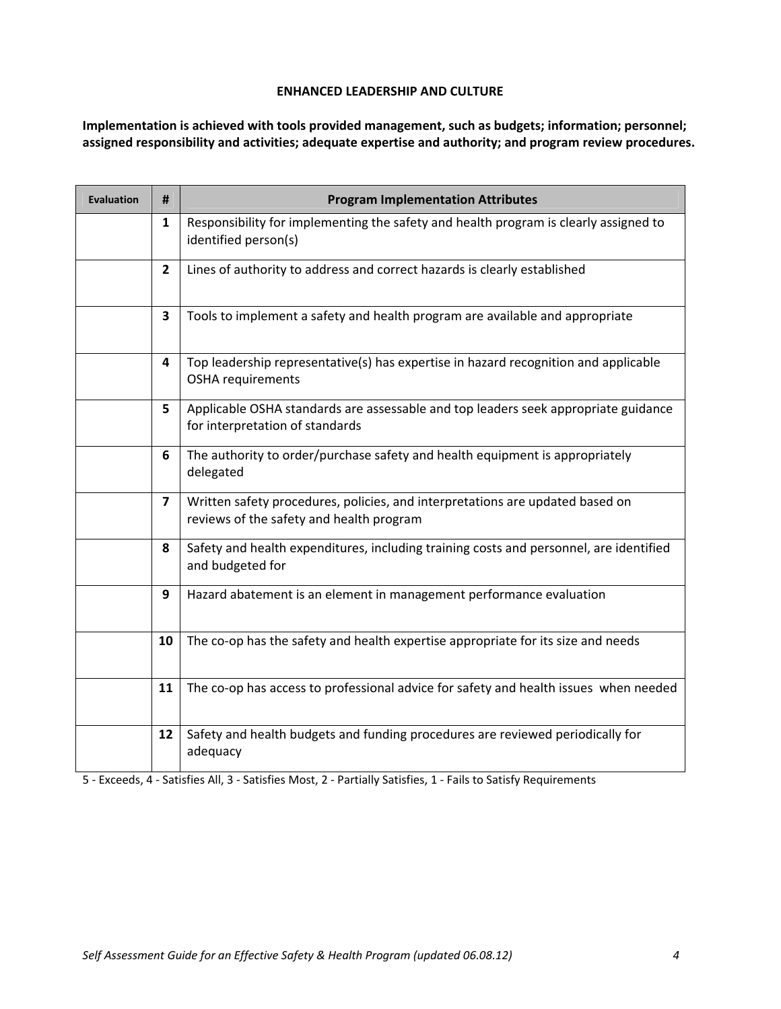**Implementation is achieved with tools provided management, such as budgets; information; personnel; assigned responsibility and activities; adequate expertise and authority; and program review procedures.**

| <b>Evaluation</b> | #              | <b>Program Implementation Attributes</b>                                                                                  |
|-------------------|----------------|---------------------------------------------------------------------------------------------------------------------------|
|                   | $\mathbf{1}$   | Responsibility for implementing the safety and health program is clearly assigned to<br>identified person(s)              |
|                   | $\overline{2}$ | Lines of authority to address and correct hazards is clearly established                                                  |
|                   | 3              | Tools to implement a safety and health program are available and appropriate                                              |
|                   | 4              | Top leadership representative(s) has expertise in hazard recognition and applicable<br><b>OSHA</b> requirements           |
|                   | 5              | Applicable OSHA standards are assessable and top leaders seek appropriate guidance<br>for interpretation of standards     |
|                   | 6              | The authority to order/purchase safety and health equipment is appropriately<br>delegated                                 |
|                   | $\overline{7}$ | Written safety procedures, policies, and interpretations are updated based on<br>reviews of the safety and health program |
|                   | 8              | Safety and health expenditures, including training costs and personnel, are identified<br>and budgeted for                |
|                   | 9              | Hazard abatement is an element in management performance evaluation                                                       |
|                   | 10             | The co-op has the safety and health expertise appropriate for its size and needs                                          |
|                   | 11             | The co-op has access to professional advice for safety and health issues when needed                                      |
|                   | 12             | Safety and health budgets and funding procedures are reviewed periodically for<br>adequacy                                |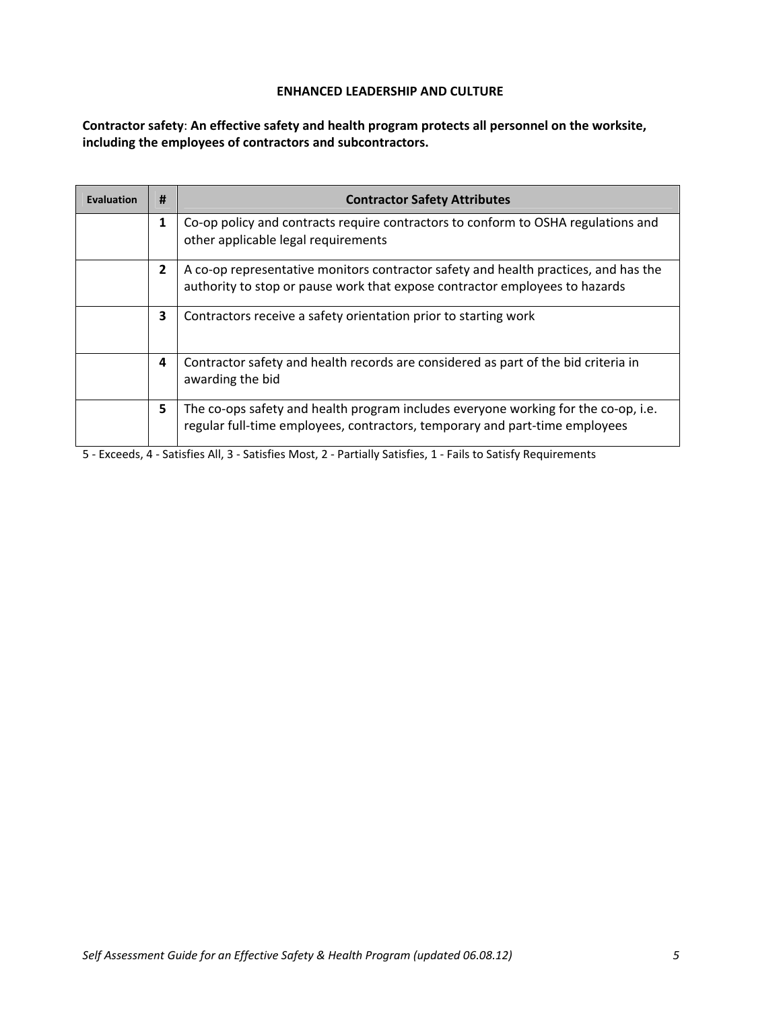**Contractor safety**: **An effective safety and health program protects all personnel on the worksite, including the employees of contractors and subcontractors.**

| <b>Evaluation</b> | #              | <b>Contractor Safety Attributes</b>                                                                                                                                |
|-------------------|----------------|--------------------------------------------------------------------------------------------------------------------------------------------------------------------|
|                   | 1              | Co-op policy and contracts require contractors to conform to OSHA regulations and<br>other applicable legal requirements                                           |
|                   | $\overline{2}$ | A co-op representative monitors contractor safety and health practices, and has the<br>authority to stop or pause work that expose contractor employees to hazards |
|                   | 3              | Contractors receive a safety orientation prior to starting work                                                                                                    |
|                   | 4              | Contractor safety and health records are considered as part of the bid criteria in<br>awarding the bid                                                             |
|                   | 5              | The co-ops safety and health program includes everyone working for the co-op, i.e.<br>regular full-time employees, contractors, temporary and part-time employees  |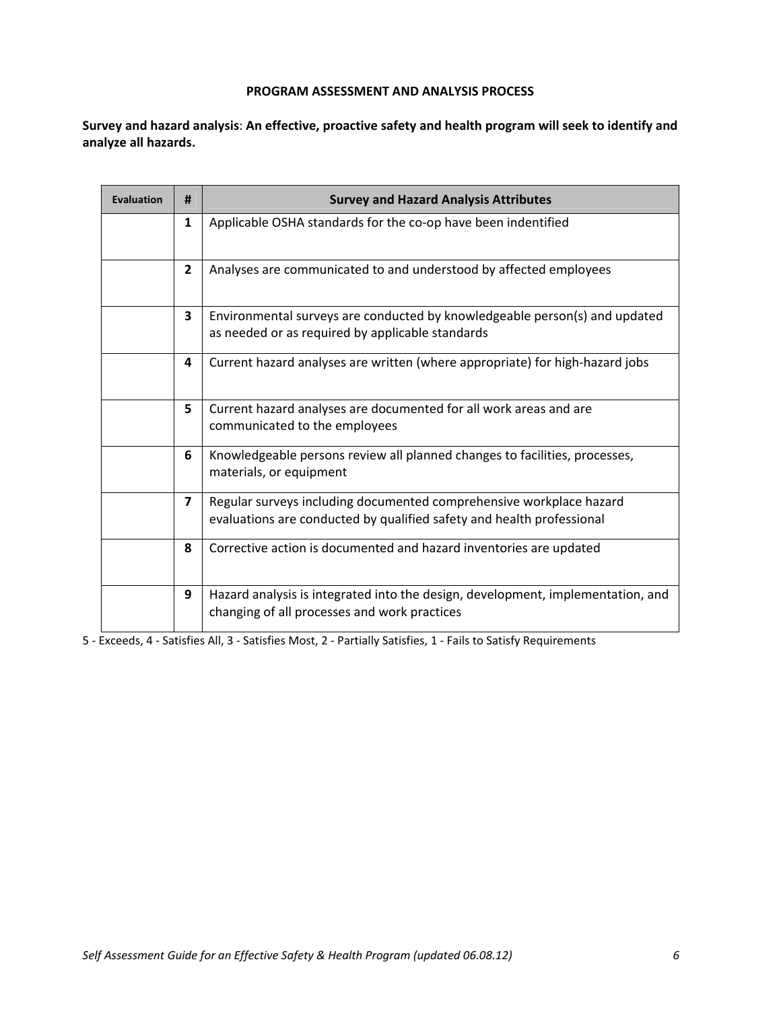**Survey and hazard analysis**: **An effective, proactive safety and health program will seek to identify and analyze all hazards.**

| Evaluation | #                       | <b>Survey and Hazard Analysis Attributes</b>                                                                                                 |
|------------|-------------------------|----------------------------------------------------------------------------------------------------------------------------------------------|
|            | 1                       | Applicable OSHA standards for the co-op have been indentified                                                                                |
|            | $2^{\circ}$             | Analyses are communicated to and understood by affected employees                                                                            |
|            | 3                       | Environmental surveys are conducted by knowledgeable person(s) and updated<br>as needed or as required by applicable standards               |
|            | 4                       | Current hazard analyses are written (where appropriate) for high-hazard jobs                                                                 |
|            | 5                       | Current hazard analyses are documented for all work areas and are<br>communicated to the employees                                           |
|            | 6                       | Knowledgeable persons review all planned changes to facilities, processes,<br>materials, or equipment                                        |
|            | $\overline{\mathbf{z}}$ | Regular surveys including documented comprehensive workplace hazard<br>evaluations are conducted by qualified safety and health professional |
|            | 8                       | Corrective action is documented and hazard inventories are updated                                                                           |
|            | 9                       | Hazard analysis is integrated into the design, development, implementation, and<br>changing of all processes and work practices              |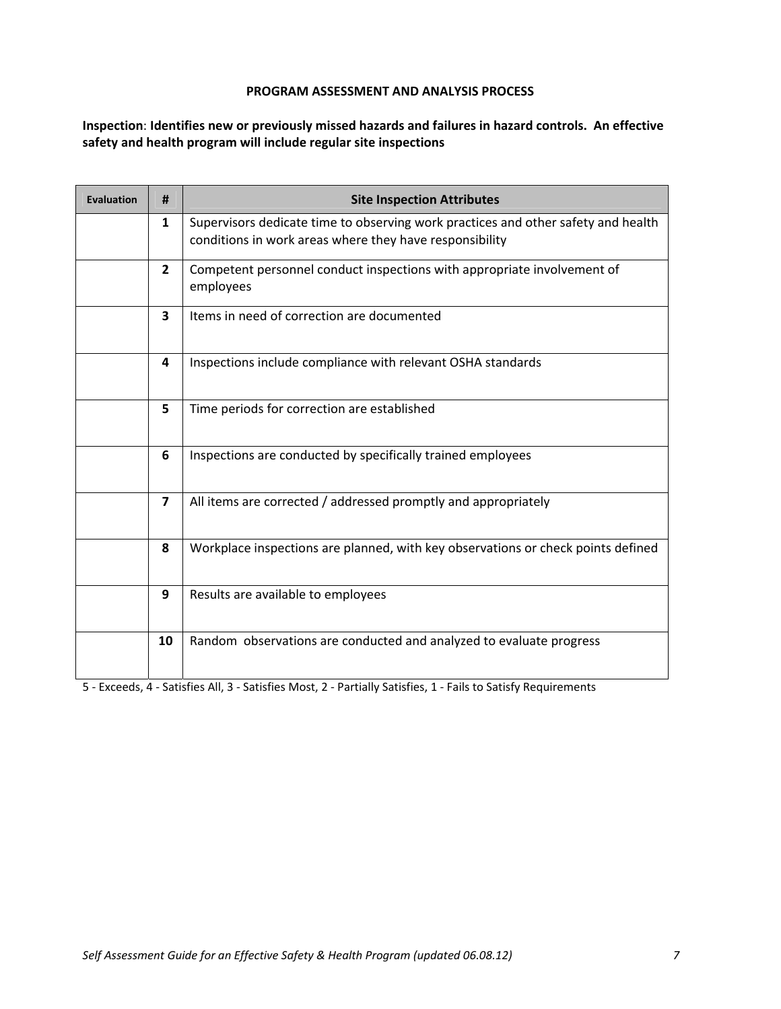**Inspection**: **Identifies new or previously missed hazards and failures in hazard controls. An effective safety and health program will include regular site inspections**

| <b>Evaluation</b> | #                                                                                                              | <b>Site Inspection Attributes</b>                                                                                                            |  |
|-------------------|----------------------------------------------------------------------------------------------------------------|----------------------------------------------------------------------------------------------------------------------------------------------|--|
|                   | $\mathbf{1}$                                                                                                   | Supervisors dedicate time to observing work practices and other safety and health<br>conditions in work areas where they have responsibility |  |
|                   | $\mathbf{2}$                                                                                                   | Competent personnel conduct inspections with appropriate involvement of<br>employees                                                         |  |
|                   | 3                                                                                                              | Items in need of correction are documented                                                                                                   |  |
|                   | 4                                                                                                              | Inspections include compliance with relevant OSHA standards                                                                                  |  |
|                   | 5                                                                                                              | Time periods for correction are established                                                                                                  |  |
|                   | 6                                                                                                              | Inspections are conducted by specifically trained employees                                                                                  |  |
|                   | $\overline{\mathbf{z}}$                                                                                        | All items are corrected / addressed promptly and appropriately                                                                               |  |
|                   | 8                                                                                                              | Workplace inspections are planned, with key observations or check points defined                                                             |  |
|                   | 9                                                                                                              | Results are available to employees                                                                                                           |  |
|                   | 10                                                                                                             | Random observations are conducted and analyzed to evaluate progress                                                                          |  |
|                   | 5 - Exceeds, 4 - Satisfies All, 3 - Satisfies Most, 2 - Partially Satisfies, 1 - Fails to Satisfy Requirements |                                                                                                                                              |  |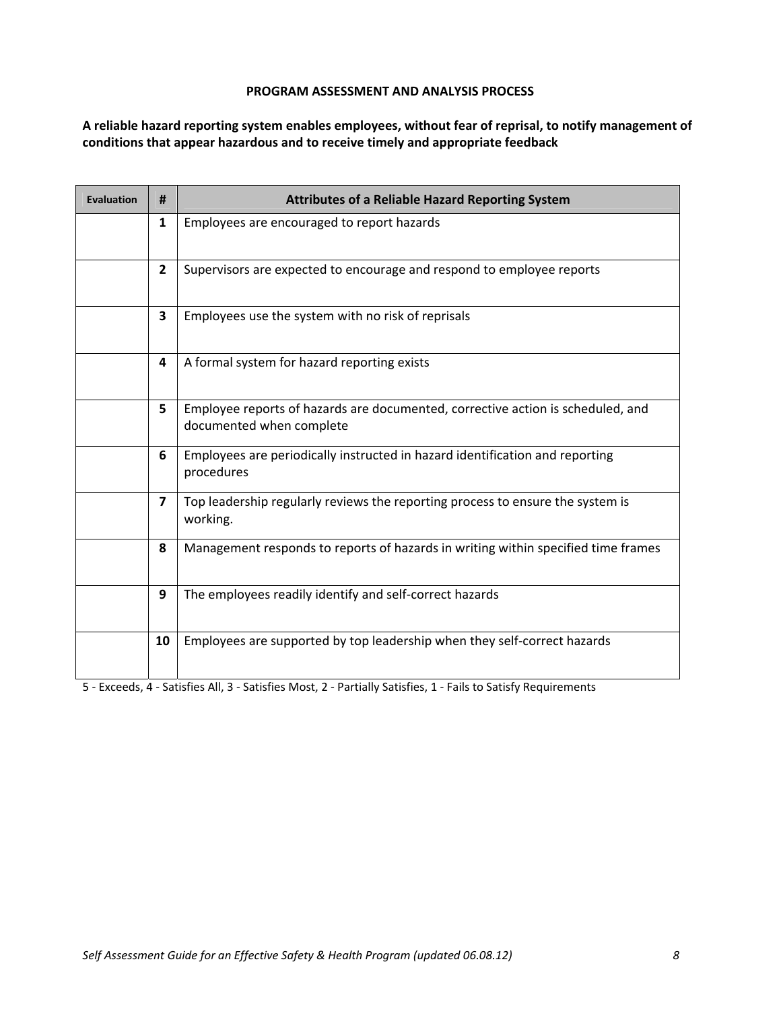**A reliable hazard reporting system enables employees, without fear of reprisal, to notify management of conditions that appear hazardous and to receive timely and appropriate feedback**

| <b>Evaluation</b> | #                                                                                                              | <b>Attributes of a Reliable Hazard Reporting System</b>                                                     |  |
|-------------------|----------------------------------------------------------------------------------------------------------------|-------------------------------------------------------------------------------------------------------------|--|
|                   | $\mathbf{1}$                                                                                                   | Employees are encouraged to report hazards                                                                  |  |
|                   | $\mathbf{2}$                                                                                                   | Supervisors are expected to encourage and respond to employee reports                                       |  |
|                   | 3                                                                                                              | Employees use the system with no risk of reprisals                                                          |  |
|                   | 4                                                                                                              | A formal system for hazard reporting exists                                                                 |  |
|                   | 5                                                                                                              | Employee reports of hazards are documented, corrective action is scheduled, and<br>documented when complete |  |
|                   | 6                                                                                                              | Employees are periodically instructed in hazard identification and reporting<br>procedures                  |  |
|                   | 7                                                                                                              | Top leadership regularly reviews the reporting process to ensure the system is<br>working.                  |  |
|                   | 8                                                                                                              | Management responds to reports of hazards in writing within specified time frames                           |  |
|                   | 9                                                                                                              | The employees readily identify and self-correct hazards                                                     |  |
|                   | 10                                                                                                             | Employees are supported by top leadership when they self-correct hazards                                    |  |
|                   | 5 - Exceeds, 4 - Satisfies All, 3 - Satisfies Most, 2 - Partially Satisfies, 1 - Fails to Satisfy Requirements |                                                                                                             |  |

*Self Assessment Guide for an Effective Safety & Health Program (updated 06.08.12) 8*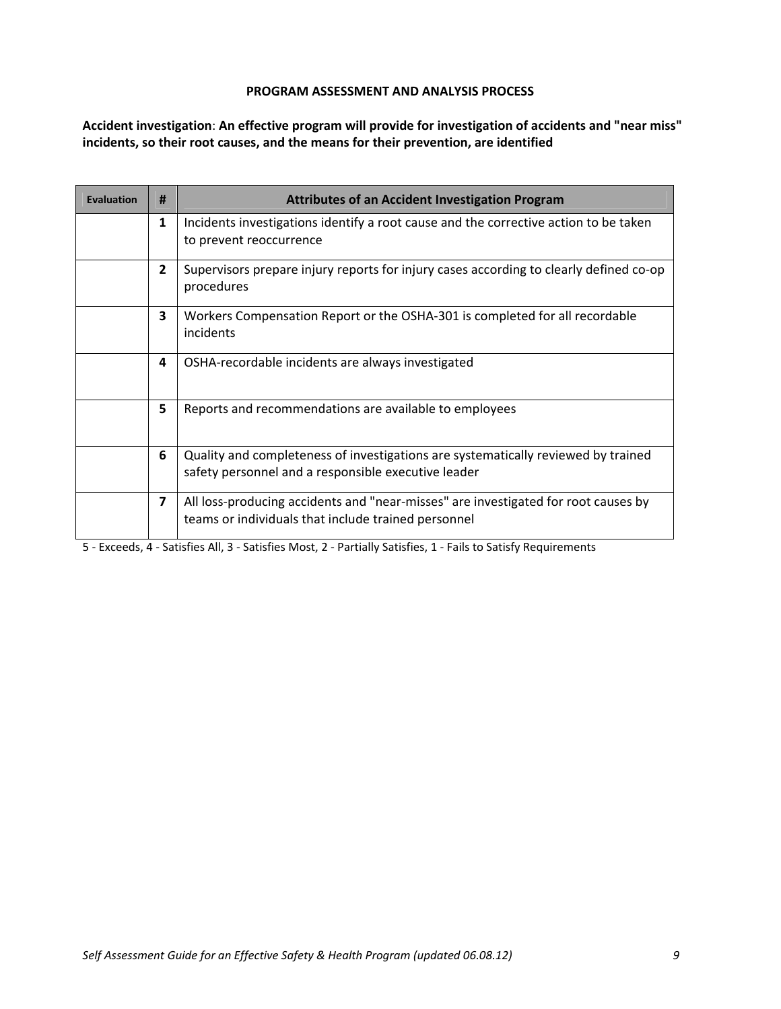**Accident investigation**: **An effective program will provide for investigation of accidents and "near miss" incidents, so their root causes, and the means for their prevention, are identified**

| <b>Evaluation</b> | #                       | <b>Attributes of an Accident Investigation Program</b>                                                                                    |
|-------------------|-------------------------|-------------------------------------------------------------------------------------------------------------------------------------------|
|                   | 1                       | Incidents investigations identify a root cause and the corrective action to be taken<br>to prevent reoccurrence                           |
|                   | $\overline{2}$          | Supervisors prepare injury reports for injury cases according to clearly defined co-op<br>procedures                                      |
|                   | $\overline{\mathbf{3}}$ | Workers Compensation Report or the OSHA-301 is completed for all recordable<br>incidents                                                  |
|                   | 4                       | OSHA-recordable incidents are always investigated                                                                                         |
|                   | 5                       | Reports and recommendations are available to employees                                                                                    |
|                   | 6                       | Quality and completeness of investigations are systematically reviewed by trained<br>safety personnel and a responsible executive leader  |
|                   | $\overline{\mathbf{z}}$ | All loss-producing accidents and "near-misses" are investigated for root causes by<br>teams or individuals that include trained personnel |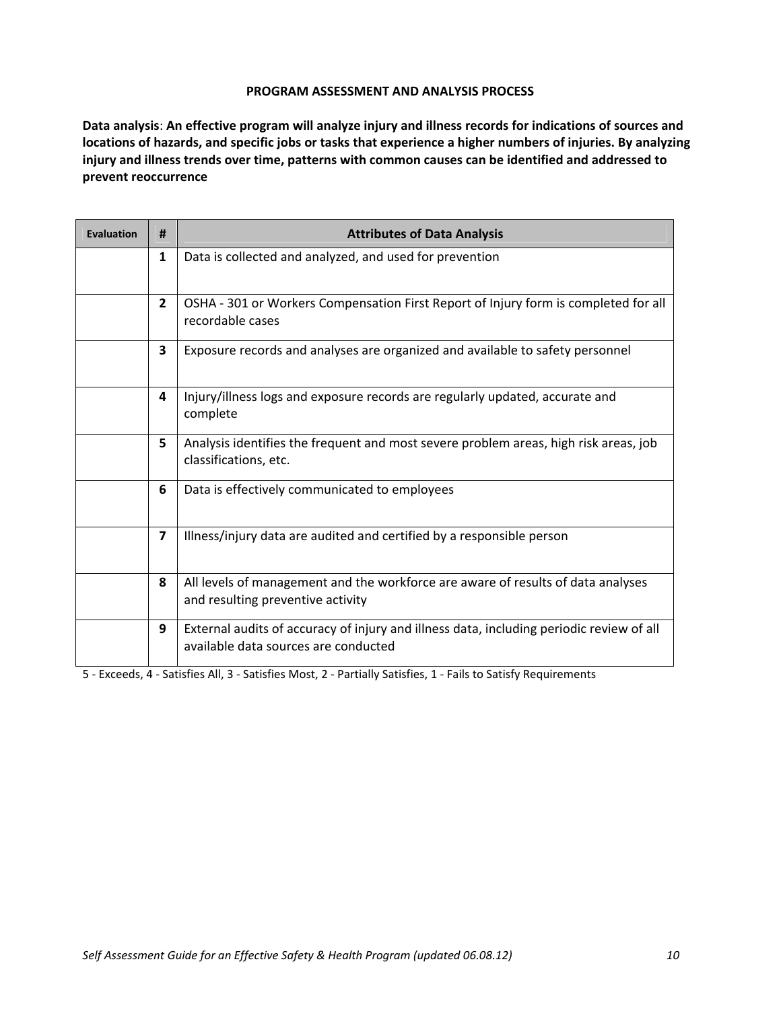**Data analysis**: **An effective program will analyze injury and illness records for indications of sources and** locations of hazards, and specific jobs or tasks that experience a higher numbers of injuries. By analyzing **injury and illness trends over time, patterns with common causes can be identified and addressed to prevent reoccurrence**

| <b>Evaluation</b> | #                       | <b>Attributes of Data Analysis</b>                                                                                               |
|-------------------|-------------------------|----------------------------------------------------------------------------------------------------------------------------------|
|                   | $\mathbf{1}$            | Data is collected and analyzed, and used for prevention                                                                          |
|                   | $\overline{2}$          | OSHA - 301 or Workers Compensation First Report of Injury form is completed for all<br>recordable cases                          |
|                   | 3                       | Exposure records and analyses are organized and available to safety personnel                                                    |
|                   | 4                       | Injury/illness logs and exposure records are regularly updated, accurate and<br>complete                                         |
|                   | 5                       | Analysis identifies the frequent and most severe problem areas, high risk areas, job<br>classifications, etc.                    |
|                   | 6                       | Data is effectively communicated to employees                                                                                    |
|                   | $\overline{\mathbf{z}}$ | Illness/injury data are audited and certified by a responsible person                                                            |
|                   | 8                       | All levels of management and the workforce are aware of results of data analyses<br>and resulting preventive activity            |
|                   | 9                       | External audits of accuracy of injury and illness data, including periodic review of all<br>available data sources are conducted |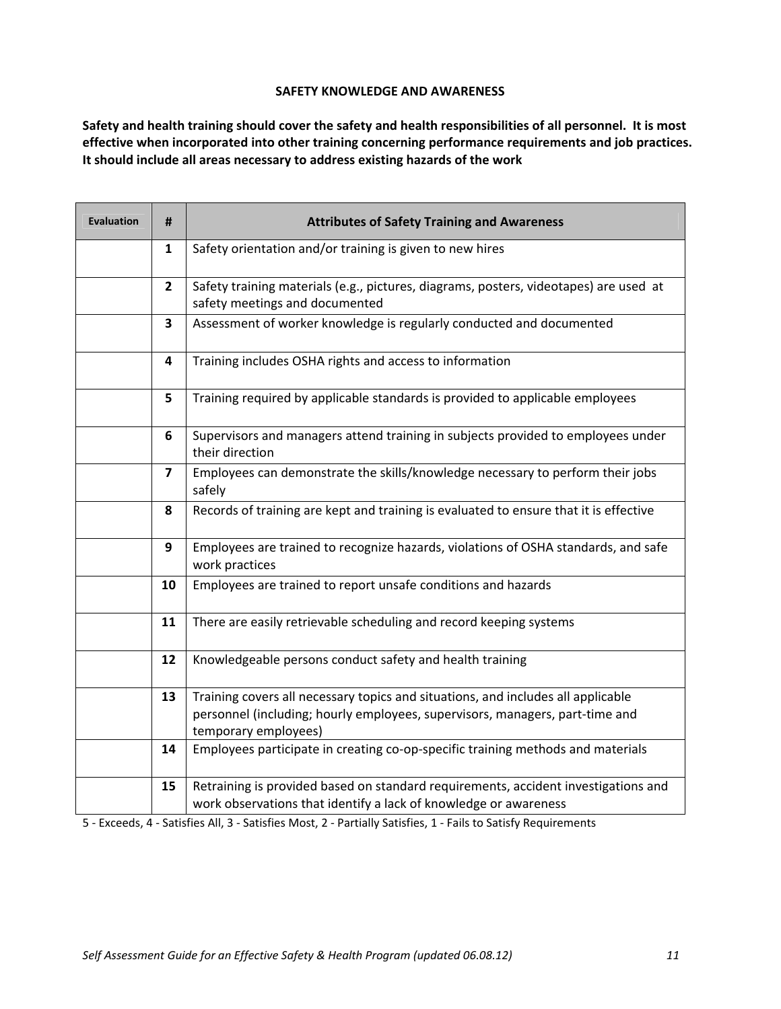### **SAFETY KNOWLEDGE AND AWARENESS**

Safety and health training should cover the safety and health responsibilities of all personnel. It is most **effective when incorporated into other training concerning performance requirements and job practices. It should include all areas necessary to address existing hazards of the work**

| <b>Evaluation</b> | #                       | <b>Attributes of Safety Training and Awareness</b>                                                                                                                                       |
|-------------------|-------------------------|------------------------------------------------------------------------------------------------------------------------------------------------------------------------------------------|
|                   | 1                       | Safety orientation and/or training is given to new hires                                                                                                                                 |
|                   | $\overline{2}$          | Safety training materials (e.g., pictures, diagrams, posters, videotapes) are used at<br>safety meetings and documented                                                                  |
|                   | $\overline{\mathbf{3}}$ | Assessment of worker knowledge is regularly conducted and documented                                                                                                                     |
|                   | 4                       | Training includes OSHA rights and access to information                                                                                                                                  |
|                   | 5                       | Training required by applicable standards is provided to applicable employees                                                                                                            |
|                   | 6                       | Supervisors and managers attend training in subjects provided to employees under<br>their direction                                                                                      |
|                   | 7                       | Employees can demonstrate the skills/knowledge necessary to perform their jobs<br>safely                                                                                                 |
|                   | 8                       | Records of training are kept and training is evaluated to ensure that it is effective                                                                                                    |
|                   | 9                       | Employees are trained to recognize hazards, violations of OSHA standards, and safe<br>work practices                                                                                     |
|                   | 10                      | Employees are trained to report unsafe conditions and hazards                                                                                                                            |
|                   | 11                      | There are easily retrievable scheduling and record keeping systems                                                                                                                       |
|                   | 12                      | Knowledgeable persons conduct safety and health training                                                                                                                                 |
|                   | 13                      | Training covers all necessary topics and situations, and includes all applicable<br>personnel (including; hourly employees, supervisors, managers, part-time and<br>temporary employees) |
|                   | 14                      | Employees participate in creating co-op-specific training methods and materials                                                                                                          |
|                   | 15                      | Retraining is provided based on standard requirements, accident investigations and<br>work observations that identify a lack of knowledge or awareness                                   |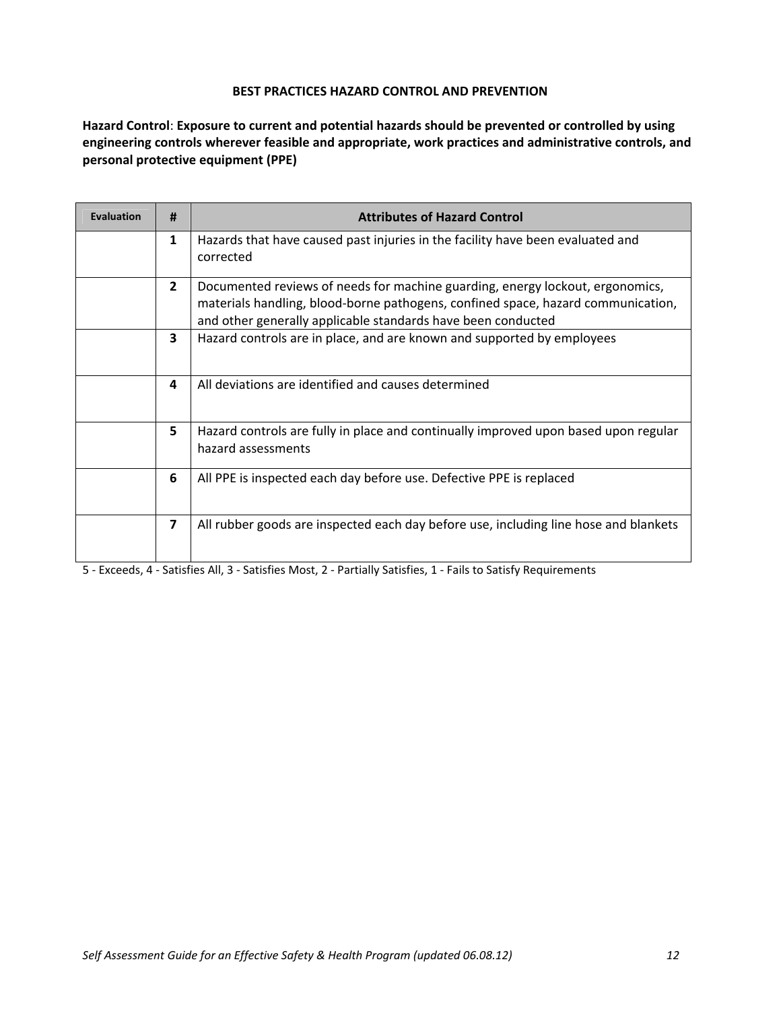**Hazard Control**: **Exposure to current and potential hazards should be prevented or controlled by using engineering controls wherever feasible and appropriate, work practices and administrative controls, and personal protective equipment (PPE)**

| <b>Evaluation</b> | #                       | <b>Attributes of Hazard Control</b>                                                                                                                                                                                               |
|-------------------|-------------------------|-----------------------------------------------------------------------------------------------------------------------------------------------------------------------------------------------------------------------------------|
|                   | $\mathbf{1}$            | Hazards that have caused past injuries in the facility have been evaluated and<br>corrected                                                                                                                                       |
|                   | $\overline{2}$          | Documented reviews of needs for machine guarding, energy lockout, ergonomics,<br>materials handling, blood-borne pathogens, confined space, hazard communication,<br>and other generally applicable standards have been conducted |
|                   | 3                       | Hazard controls are in place, and are known and supported by employees                                                                                                                                                            |
|                   | 4                       | All deviations are identified and causes determined                                                                                                                                                                               |
|                   | 5                       | Hazard controls are fully in place and continually improved upon based upon regular<br>hazard assessments                                                                                                                         |
|                   | 6                       | All PPE is inspected each day before use. Defective PPE is replaced                                                                                                                                                               |
|                   | $\overline{\mathbf{z}}$ | All rubber goods are inspected each day before use, including line hose and blankets                                                                                                                                              |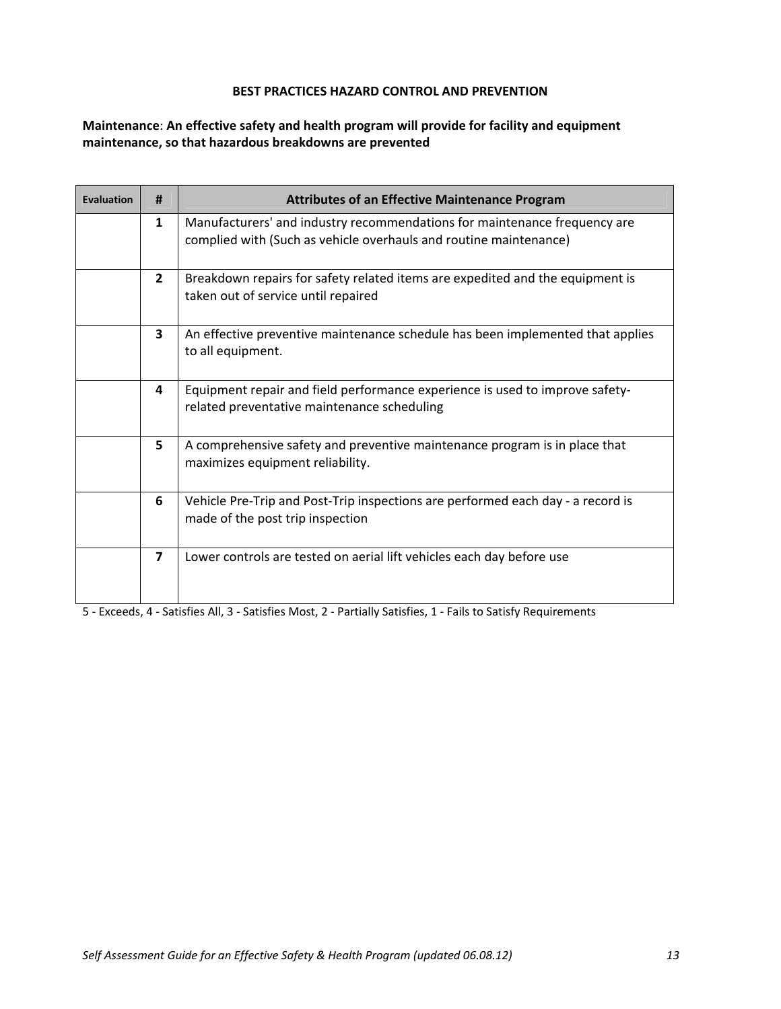**Maintenance**: **An effective safety and health program will provide for facility and equipment maintenance, so that hazardous breakdowns are prevented**

| <b>Evaluation</b> | Ħ                       | <b>Attributes of an Effective Maintenance Program</b>                                                                                          |
|-------------------|-------------------------|------------------------------------------------------------------------------------------------------------------------------------------------|
|                   | 1                       | Manufacturers' and industry recommendations for maintenance frequency are<br>complied with (Such as vehicle overhauls and routine maintenance) |
|                   | $\overline{2}$          | Breakdown repairs for safety related items are expedited and the equipment is<br>taken out of service until repaired                           |
|                   | $\overline{\mathbf{3}}$ | An effective preventive maintenance schedule has been implemented that applies<br>to all equipment.                                            |
|                   | 4                       | Equipment repair and field performance experience is used to improve safety-<br>related preventative maintenance scheduling                    |
|                   | 5                       | A comprehensive safety and preventive maintenance program is in place that<br>maximizes equipment reliability.                                 |
|                   | 6                       | Vehicle Pre-Trip and Post-Trip inspections are performed each day - a record is<br>made of the post trip inspection                            |
|                   | $\overline{7}$          | Lower controls are tested on aerial lift vehicles each day before use                                                                          |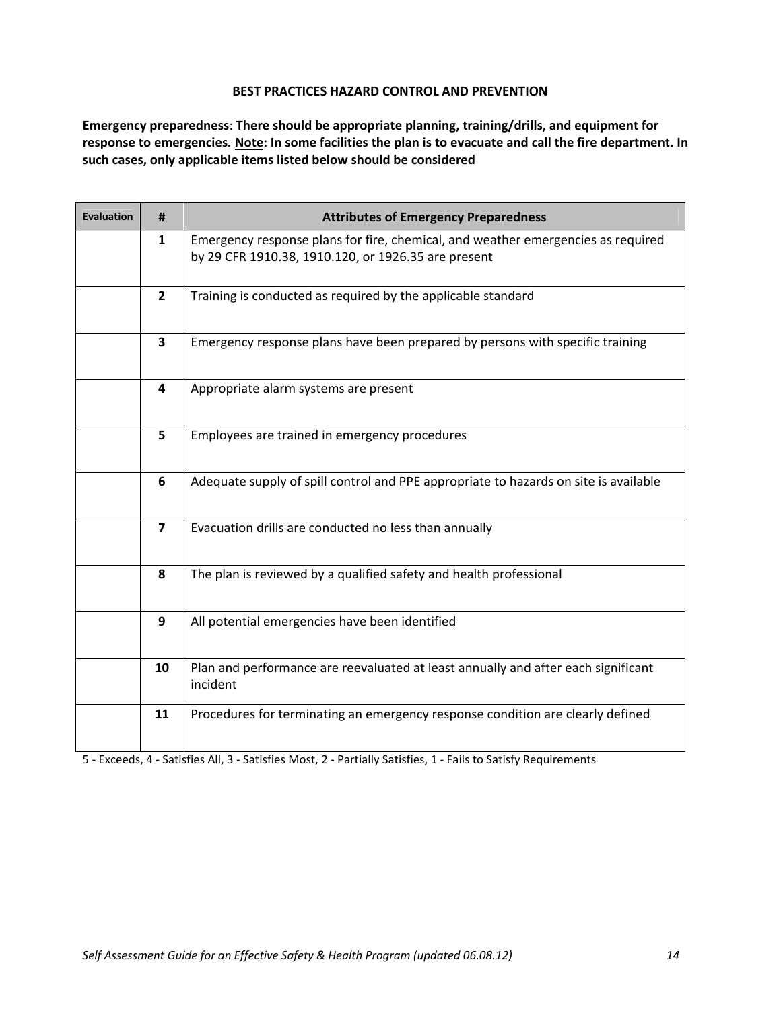**Emergency preparedness**: **There should be appropriate planning, training/drills, and equipment for** response to emergencies. Note: In some facilities the plan is to evacuate and call the fire department. In **such cases, only applicable items listed below should be considered**

| <b>Evaluation</b> | #                       | <b>Attributes of Emergency Preparedness</b>                                                                                             |
|-------------------|-------------------------|-----------------------------------------------------------------------------------------------------------------------------------------|
|                   | 1                       | Emergency response plans for fire, chemical, and weather emergencies as required<br>by 29 CFR 1910.38, 1910.120, or 1926.35 are present |
|                   | $\overline{2}$          | Training is conducted as required by the applicable standard                                                                            |
|                   | $\overline{\mathbf{3}}$ | Emergency response plans have been prepared by persons with specific training                                                           |
|                   | 4                       | Appropriate alarm systems are present                                                                                                   |
|                   | 5                       | Employees are trained in emergency procedures                                                                                           |
|                   | 6                       | Adequate supply of spill control and PPE appropriate to hazards on site is available                                                    |
|                   | $\overline{\mathbf{z}}$ | Evacuation drills are conducted no less than annually                                                                                   |
|                   | 8                       | The plan is reviewed by a qualified safety and health professional                                                                      |
|                   | 9                       | All potential emergencies have been identified                                                                                          |
|                   | 10                      | Plan and performance are reevaluated at least annually and after each significant<br>incident                                           |
|                   | 11                      | Procedures for terminating an emergency response condition are clearly defined                                                          |